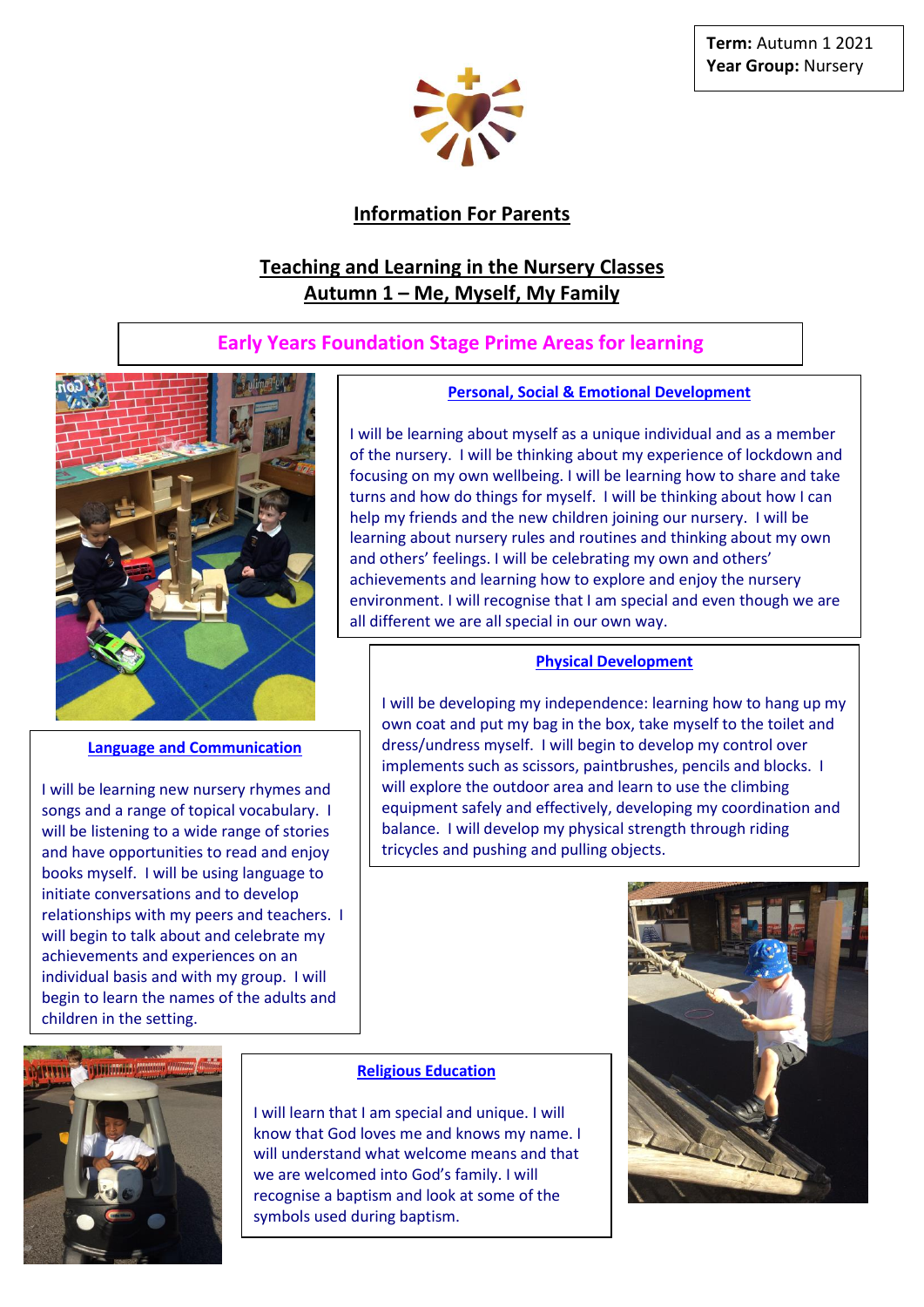

# **Information For Parents**

# **Teaching and Learning in the Nursery Classes Autumn 1 – Me, Myself, My Family**

# **Early Years Foundation Stage Prime Areas for learning**



## **Language and Communication**

 individual basis and with my group. I will  children in the setting. I will be learning new nursery rhymes and songs and a range of topical vocabulary. I will be listening to a wide range of stories and have opportunities to read and enjoy books myself. I will be using language to initiate conversations and to develop relationships with my peers and teachers. I will begin to talk about and celebrate my achievements and experiences on an begin to learn the names of the adults and

## **Personal, Social & Emotional Development**

I will be learning about myself as a unique individual and as a member of the nursery. I will be thinking about my experience of lockdown and focusing on my own wellbeing. I will be learning how to share and take turns and how do things for myself. I will be thinking about how I can help my friends and the new children joining our nursery. I will be learning about nursery rules and routines and thinking about my own and others' feelings. I will be celebrating my own and others' achievements and learning how to explore and enjoy the nursery environment. I will recognise that I am special and even though we are all different we are all special in our own way.

## **Physical Development**

I will be developing my independence: learning how to hang up my own coat and put my bag in the box, take myself to the toilet and dress/undress myself. I will begin to develop my control over implements such as scissors, paintbrushes, pencils and blocks. I will explore the outdoor area and learn to use the climbing equipment safely and effectively, developing my coordination and balance. I will develop my physical strength through riding tricycles and pushing and pulling objects.



## **Religious Education**

I will learn that I am special and unique. I will know that God loves me and knows my name. I will understand what welcome means and that we are welcomed into God's family. I will recognise a baptism and look at some of the symbols used during baptism.

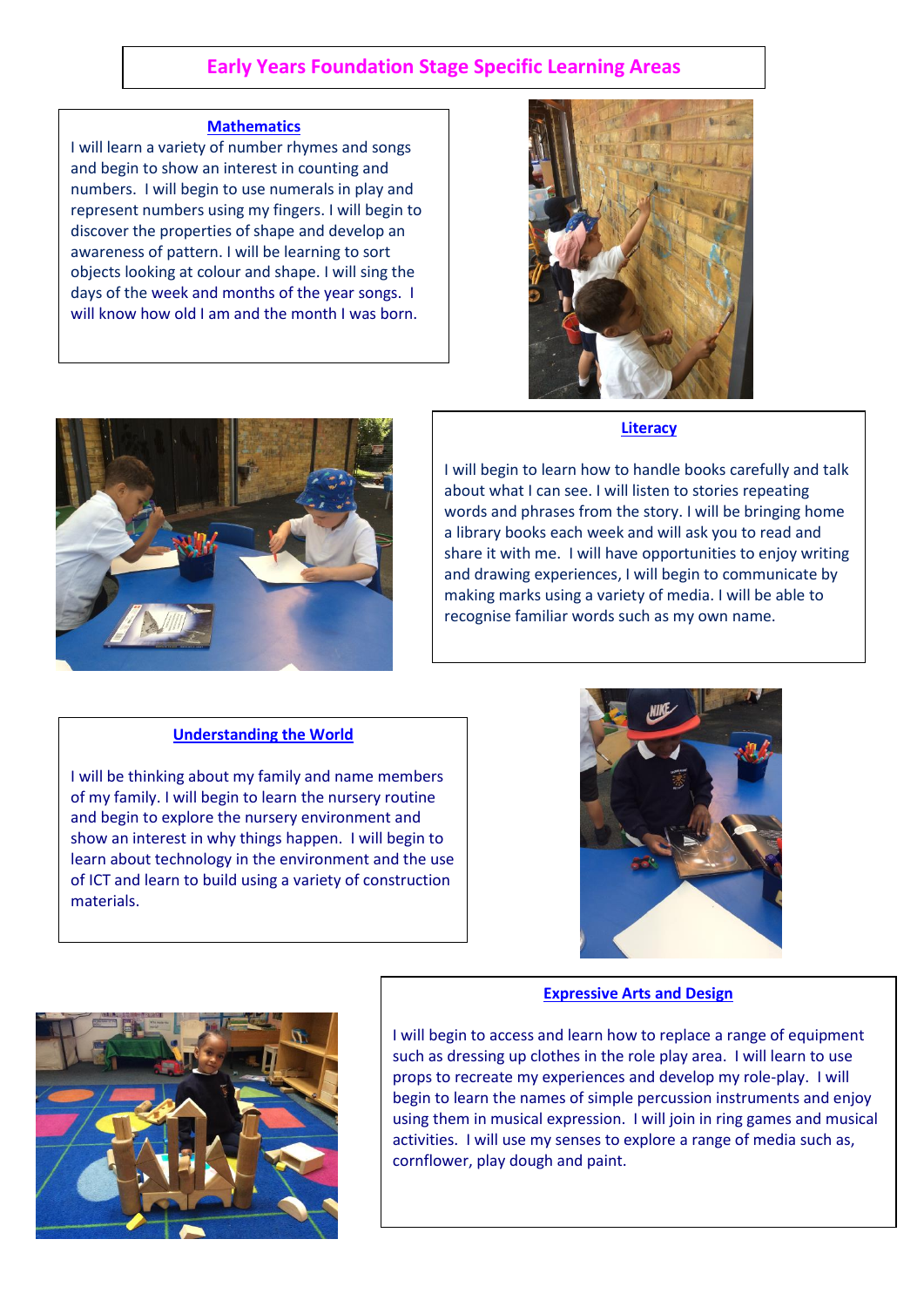# **Early Years Foundation Stage Specific Learning Areas**

#### **Mathematics**

I will learn a variety of number rhymes and songs and begin to show an interest in counting and numbers. I will begin to use numerals in play and represent numbers using my fingers. I will begin to discover the properties of shape and develop an awareness of pattern. I will be learning to sort objects looking at colour and shape. I will sing the days of the week and months of the year songs. I will know how old I am and the month I was born.





### **Literacy**

I will begin to learn how to handle books carefully and talk about what I can see. I will listen to stories repeating words and phrases from the story. I will be bringing home a library books each week and will ask you to read and share it with me. I will have opportunities to enjoy writing and drawing experiences, I will begin to communicate by making marks using a variety of media. I will be able to recognise familiar words such as my own name.

### **Understanding the World**

I will be thinking about my family and name members of my family. I will begin to learn the nursery routine and begin to explore the nursery environment and show an interest in why things happen. I will begin to learn about technology in the environment and the use of ICT and learn to build using a variety of construction materials.



### **Expressive Arts and Design**



I will begin to access and learn how to replace a range of equipment such as dressing up clothes in the role play area. I will learn to use props to recreate my experiences and develop my role-play. I will begin to learn the names of simple percussion instruments and enjoy using them in musical expression. I will join in ring games and musical activities. I will use my senses to explore a range of media such as, cornflower, play dough and paint.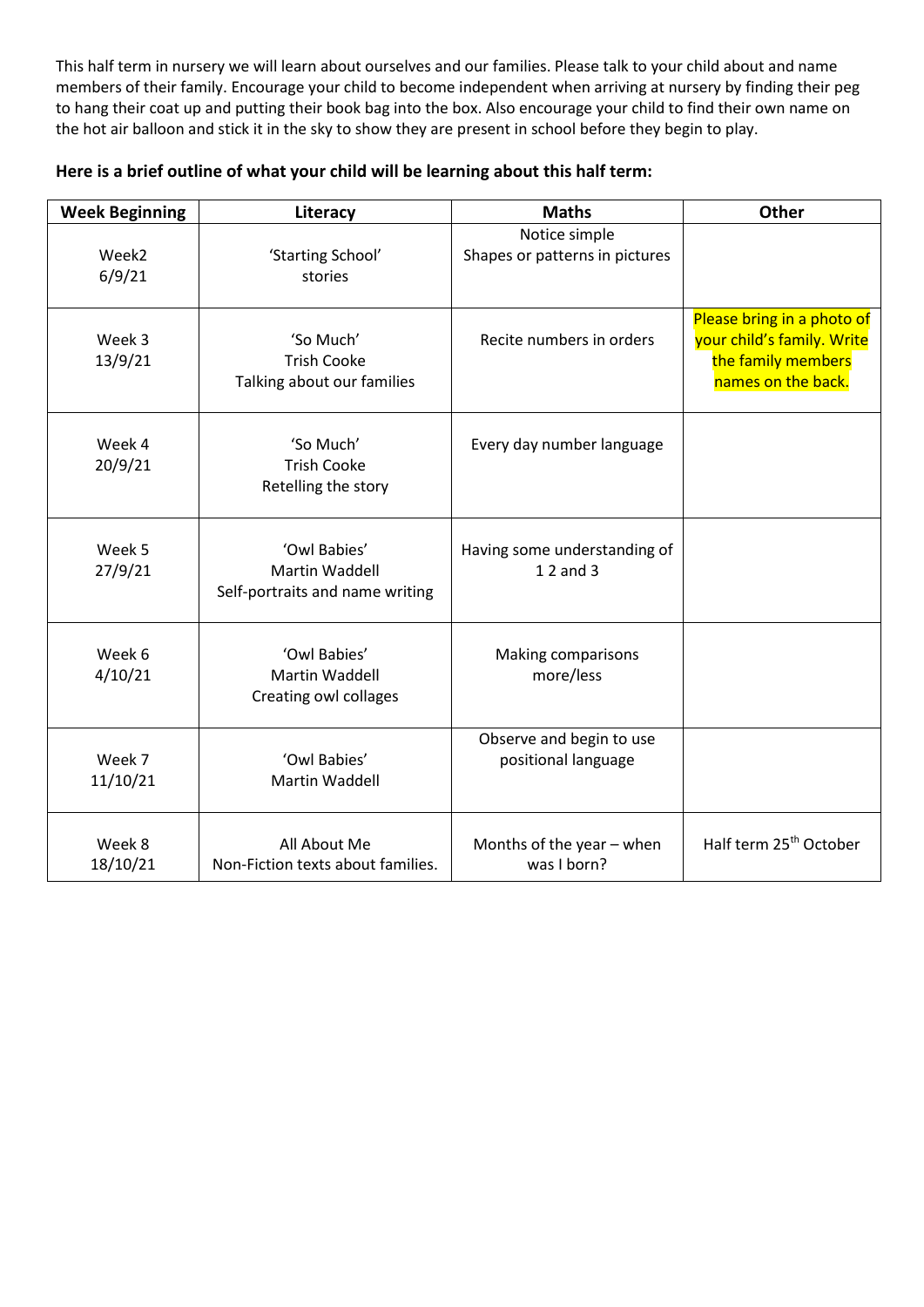This half term in nursery we will learn about ourselves and our families. Please talk to your child about and name members of their family. Encourage your child to become independent when arriving at nursery by finding their peg to hang their coat up and putting their book bag into the box. Also encourage your child to find their own name on the hot air balloon and stick it in the sky to show they are present in school before they begin to play.

| <b>Week Beginning</b>       | Literacy                                                          | <b>Maths</b>                                    | <b>Other</b>                                                                                         |
|-----------------------------|-------------------------------------------------------------------|-------------------------------------------------|------------------------------------------------------------------------------------------------------|
| Week <sub>2</sub><br>6/9/21 | 'Starting School'<br>stories                                      | Notice simple<br>Shapes or patterns in pictures |                                                                                                      |
| Week 3<br>13/9/21           | 'So Much'<br><b>Trish Cooke</b><br>Talking about our families     | Recite numbers in orders                        | Please bring in a photo of<br>your child's family. Write<br>the family members<br>names on the back. |
| Week 4<br>20/9/21           | 'So Much'<br><b>Trish Cooke</b><br>Retelling the story            | Every day number language                       |                                                                                                      |
| Week 5<br>27/9/21           | 'Owl Babies'<br>Martin Waddell<br>Self-portraits and name writing | Having some understanding of<br>1 2 and 3       |                                                                                                      |
| Week 6<br>4/10/21           | 'Owl Babies'<br>Martin Waddell<br>Creating owl collages           | Making comparisons<br>more/less                 |                                                                                                      |
| Week 7<br>11/10/21          | 'Owl Babies'<br>Martin Waddell                                    | Observe and begin to use<br>positional language |                                                                                                      |
| Week 8<br>18/10/21          | All About Me<br>Non-Fiction texts about families.                 | Months of the year - when<br>was I born?        | Half term 25 <sup>th</sup> October                                                                   |

# **Here is a brief outline of what your child will be learning about this half term:**